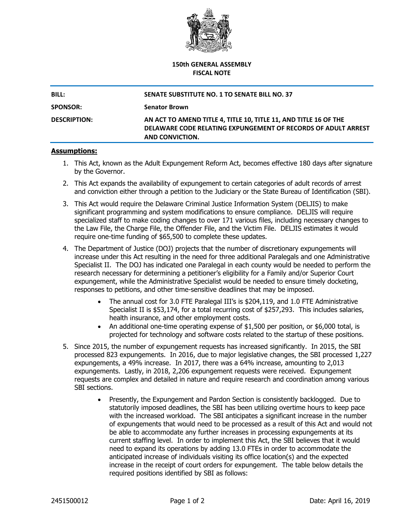

## **150th GENERAL ASSEMBLY FISCAL NOTE**

| <b>BILL:</b>        | SENATE SUBSTITUTE NO. 1 TO SENATE BILL NO. 37                                                                                                        |
|---------------------|------------------------------------------------------------------------------------------------------------------------------------------------------|
| <b>SPONSOR:</b>     | <b>Senator Brown</b>                                                                                                                                 |
| <b>DESCRIPTION:</b> | AN ACT TO AMEND TITLE 4, TITLE 10, TITLE 11, AND TITLE 16 OF THE<br>DELAWARE CODE RELATING EXPUNGEMENT OF RECORDS OF ADULT ARREST<br>AND CONVICTION. |

## **Assumptions:**

- 1. This Act, known as the Adult Expungement Reform Act, becomes effective 180 days after signature by the Governor.
- 2. This Act expands the availability of expungement to certain categories of adult records of arrest and conviction either through a petition to the Judiciary or the State Bureau of Identification (SBI).
- 3. This Act would require the Delaware Criminal Justice Information System (DELJIS) to make significant programming and system modifications to ensure compliance. DELJIS will require specialized staff to make coding changes to over 171 various files, including necessary changes to the Law File, the Charge File, the Offender File, and the Victim File. DELJIS estimates it would require one-time funding of \$65,500 to complete these updates.
- 4. The Department of Justice (DOJ) projects that the number of discretionary expungements will increase under this Act resulting in the need for three additional Paralegals and one Administrative Specialist II. The DOJ has indicated one Paralegal in each county would be needed to perform the research necessary for determining a petitioner's eligibility for a Family and/or Superior Court expungement, while the Administrative Specialist would be needed to ensure timely docketing, responses to petitions, and other time-sensitive deadlines that may be imposed.
	- The annual cost for 3.0 FTE Paralegal III's is \$204,119, and 1.0 FTE Administrative Specialist II is \$53,174, for a total recurring cost of \$257,293. This includes salaries, health insurance, and other employment costs.
	- An additional one-time operating expense of \$1,500 per position, or \$6,000 total, is projected for technology and software costs related to the startup of these positions.
- 5. Since 2015, the number of expungement requests has increased significantly. In 2015, the SBI processed 823 expungements. In 2016, due to major legislative changes, the SBI processed 1,227 expungements, a 49% increase. In 2017, there was a 64% increase, amounting to 2,013 expungements. Lastly, in 2018, 2,206 expungement requests were received. Expungement requests are complex and detailed in nature and require research and coordination among various SBI sections.
	- Presently, the Expungement and Pardon Section is consistently backlogged. Due to statutorily imposed deadlines, the SBI has been utilizing overtime hours to keep pace with the increased workload. The SBI anticipates a significant increase in the number of expungements that would need to be processed as a result of this Act and would not be able to accommodate any further increases in processing expungements at its current staffing level. In order to implement this Act, the SBI believes that it would need to expand its operations by adding 13.0 FTEs in order to accommodate the anticipated increase of individuals visiting its office location(s) and the expected increase in the receipt of court orders for expungement. The table below details the required positions identified by SBI as follows: